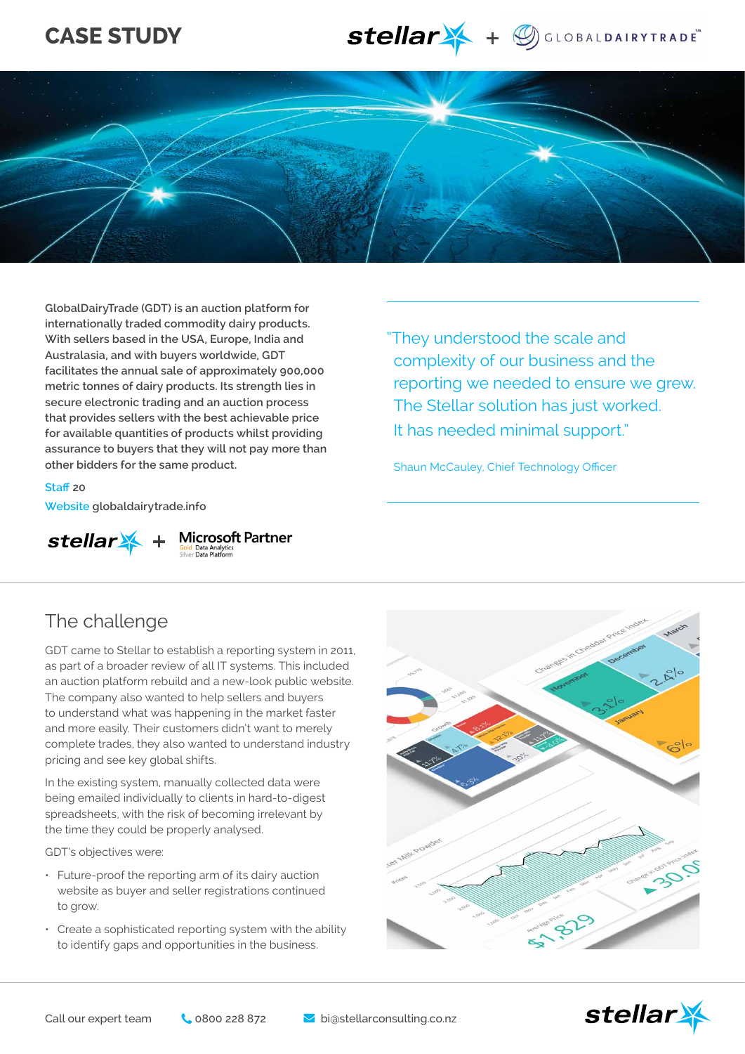# **CASE STUDY**





**GlobalDairyTrade (GDT) is an auction platform for internationally traded commodity dairy products. With sellers based in the USA, Europe, India and Australasia, and with buyers worldwide, GDT facilitates the annual sale of approximately 900,000 metric tonnes of dairy products. Its strength lies in secure electronic trading and an auction process that provides sellers with the best achievable price for available quantities of products whilst providing assurance to buyers that they will not pay more than other bidders for the same product.**

"They understood the scale and complexity of our business and the reporting we needed to ensure we grew. The Stellar solution has just worked. It has needed minimal support."

Shaun McCauley, Chief Technology Officer

**Staff 20 Website globaldairytrade.info**



**Microsoft Partner**<br>Gold Data Analytics<br>Silver Data Platform

### The challenge

GDT came to Stellar to establish a reporting system in 2011, as part of a broader review of all IT systems. This included an auction platform rebuild and a new-look public website. The company also wanted to help sellers and buyers to understand what was happening in the market faster and more easily. Their customers didn't want to merely complete trades, they also wanted to understand industry pricing and see key global shifts.

In the existing system, manually collected data were being emailed individually to clients in hard-to-digest spreadsheets, with the risk of becoming irrelevant by the time they could be properly analysed.

GDT's objectives were:

- Future-proof the reporting arm of its dairy auction website as buyer and seller registrations continued to grow.
- Create a sophisticated reporting system with the ability to identify gaps and opportunities in the business.